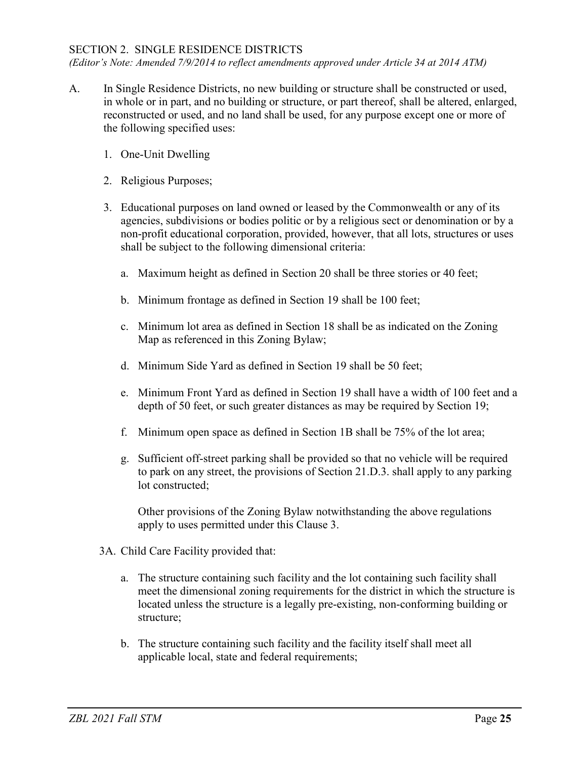## SECTION 2. SINGLE RESIDENCE DISTRICTS

*(Editor's Note: Amended 7/9/2014 to reflect amendments approved under Article 34 at 2014 ATM)*

- A. In Single Residence Districts, no new building or structure shall be constructed or used, in whole or in part, and no building or structure, or part thereof, shall be altered, enlarged, reconstructed or used, and no land shall be used, for any purpose except one or more of the following specified uses:
	- 1. One-Unit Dwelling
	- 2. Religious Purposes;
	- 3. Educational purposes on land owned or leased by the Commonwealth or any of its agencies, subdivisions or bodies politic or by a religious sect or denomination or by a non-profit educational corporation, provided, however, that all lots, structures or uses shall be subject to the following dimensional criteria:
		- a. Maximum height as defined in Section 20 shall be three stories or 40 feet;
		- b. Minimum frontage as defined in Section 19 shall be 100 feet;
		- c. Minimum lot area as defined in Section 18 shall be as indicated on the Zoning Map as referenced in this Zoning Bylaw;
		- d. Minimum Side Yard as defined in Section 19 shall be 50 feet;
		- e. Minimum Front Yard as defined in Section 19 shall have a width of 100 feet and a depth of 50 feet, or such greater distances as may be required by Section 19;
		- f. Minimum open space as defined in Section 1B shall be 75% of the lot area;
		- g. Sufficient off-street parking shall be provided so that no vehicle will be required to park on any street, the provisions of Section 21.D.3. shall apply to any parking lot constructed;

Other provisions of the Zoning Bylaw notwithstanding the above regulations apply to uses permitted under this Clause 3.

- 3A. Child Care Facility provided that:
	- a. The structure containing such facility and the lot containing such facility shall meet the dimensional zoning requirements for the district in which the structure is located unless the structure is a legally pre-existing, non-conforming building or structure;
	- b. The structure containing such facility and the facility itself shall meet all applicable local, state and federal requirements;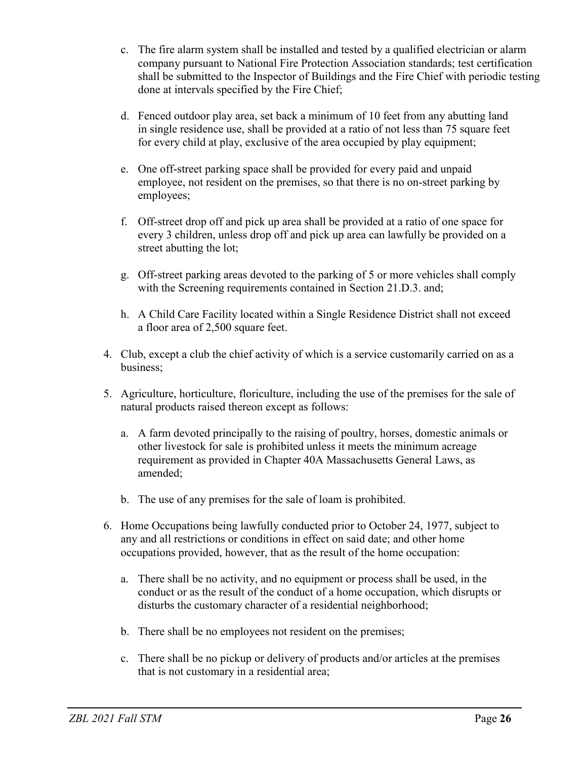- c. The fire alarm system shall be installed and tested by a qualified electrician or alarm company pursuant to National Fire Protection Association standards; test certification shall be submitted to the Inspector of Buildings and the Fire Chief with periodic testing done at intervals specified by the Fire Chief;
- d. Fenced outdoor play area, set back a minimum of 10 feet from any abutting land in single residence use, shall be provided at a ratio of not less than 75 square feet for every child at play, exclusive of the area occupied by play equipment;
- e. One off-street parking space shall be provided for every paid and unpaid employee, not resident on the premises, so that there is no on-street parking by employees;
- f. Off-street drop off and pick up area shall be provided at a ratio of one space for every 3 children, unless drop off and pick up area can lawfully be provided on a street abutting the lot;
- g. Off-street parking areas devoted to the parking of 5 or more vehicles shall comply with the Screening requirements contained in Section 21.D.3. and;
- h. A Child Care Facility located within a Single Residence District shall not exceed a floor area of 2,500 square feet.
- 4. Club, except a club the chief activity of which is a service customarily carried on as a business;
- 5. Agriculture, horticulture, floriculture, including the use of the premises for the sale of natural products raised thereon except as follows:
	- a. A farm devoted principally to the raising of poultry, horses, domestic animals or other livestock for sale is prohibited unless it meets the minimum acreage requirement as provided in Chapter 40A Massachusetts General Laws, as amended;
	- b. The use of any premises for the sale of loam is prohibited.
- 6. Home Occupations being lawfully conducted prior to October 24, 1977, subject to any and all restrictions or conditions in effect on said date; and other home occupations provided, however, that as the result of the home occupation:
	- a. There shall be no activity, and no equipment or process shall be used, in the conduct or as the result of the conduct of a home occupation, which disrupts or disturbs the customary character of a residential neighborhood;
	- b. There shall be no employees not resident on the premises;
	- c. There shall be no pickup or delivery of products and/or articles at the premises that is not customary in a residential area;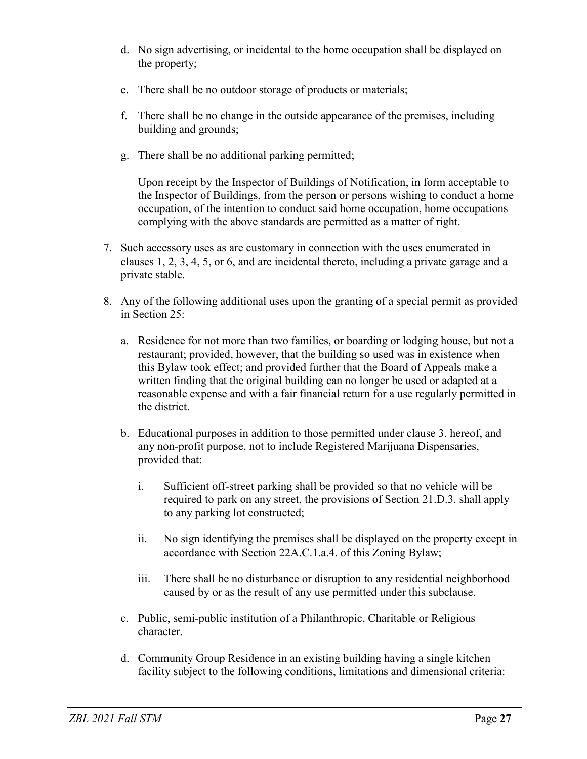- d. No sign advertising, or incidental to the home occupation shall be displayed on the property;
- e. There shall be no outdoor storage of products or materials;
- f. There shall be no change in the outside appearance of the premises, including building and grounds;
- g. There shall be no additional parking permitted;

Upon receipt by the Inspector of Buildings of Notification, in form acceptable to the Inspector of Buildings, from the person or persons wishing to conduct a home occupation, of the intention to conduct said home occupation, home occupations complying with the above standards are permitted as a matter of right.

- 7. Such accessory uses as are customary in connection with the uses enumerated in clauses 1, 2, 3, 4, 5, or 6, and are incidental thereto, including a private garage and a private stable.
- 8. Any of the following additional uses upon the granting of a special permit as provided in Section 25:
	- a. Residence for not more than two families, or boarding or lodging house, but not a restaurant; provided, however, that the building so used was in existence when this Bylaw took effect; and provided further that the Board of Appeals make a written finding that the original building can no longer be used or adapted at a reasonable expense and with a fair financial return for a use regularly permitted in the district.
	- b. Educational purposes in addition to those permitted under clause 3. hereof, and any non-profit purpose, not to include Registered Marijuana Dispensaries, provided that:
		- i. Sufficient off-street parking shall be provided so that no vehicle will be required to park on any street, the provisions of Section 21.D.3. shall apply to any parking lot constructed;
		- ii. No sign identifying the premises shall be displayed on the property except in accordance with Section 22A.C.1.a.4. of this Zoning Bylaw;
		- iii. There shall be no disturbance or disruption to any residential neighborhood caused by or as the result of any use permitted under this subclause.
	- c. Public, semi-public institution of a Philanthropic, Charitable or Religious character.
	- d. Community Group Residence in an existing building having a single kitchen facility subject to the following conditions, limitations and dimensional criteria: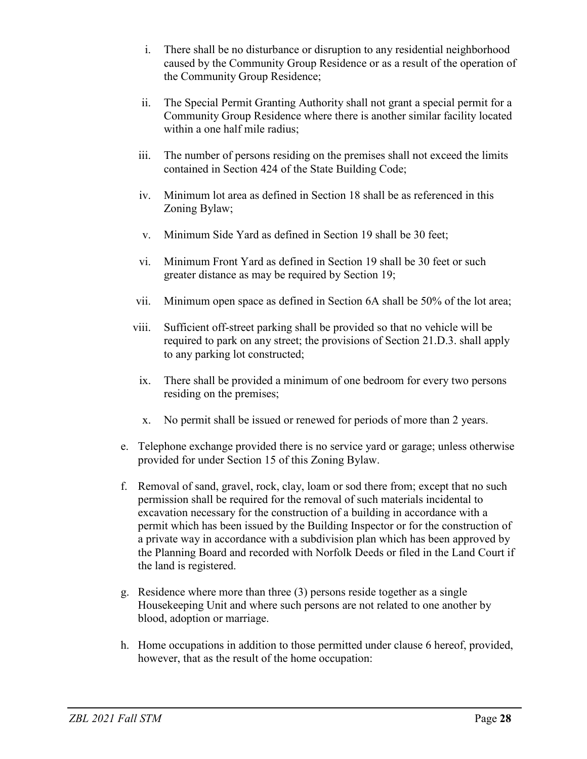- i. There shall be no disturbance or disruption to any residential neighborhood caused by the Community Group Residence or as a result of the operation of the Community Group Residence;
- ii. The Special Permit Granting Authority shall not grant a special permit for a Community Group Residence where there is another similar facility located within a one half mile radius;
- iii. The number of persons residing on the premises shall not exceed the limits contained in Section 424 of the State Building Code;
- iv. Minimum lot area as defined in Section 18 shall be as referenced in this Zoning Bylaw;
- v. Minimum Side Yard as defined in Section 19 shall be 30 feet;
- vi. Minimum Front Yard as defined in Section 19 shall be 30 feet or such greater distance as may be required by Section 19;
- vii. Minimum open space as defined in Section 6A shall be 50% of the lot area;
- viii. Sufficient off-street parking shall be provided so that no vehicle will be required to park on any street; the provisions of Section 21.D.3. shall apply to any parking lot constructed;
- ix. There shall be provided a minimum of one bedroom for every two persons residing on the premises;
- x. No permit shall be issued or renewed for periods of more than 2 years.
- e. Telephone exchange provided there is no service yard or garage; unless otherwise provided for under Section 15 of this Zoning Bylaw.
- f. Removal of sand, gravel, rock, clay, loam or sod there from; except that no such permission shall be required for the removal of such materials incidental to excavation necessary for the construction of a building in accordance with a permit which has been issued by the Building Inspector or for the construction of a private way in accordance with a subdivision plan which has been approved by the Planning Board and recorded with Norfolk Deeds or filed in the Land Court if the land is registered.
- g. Residence where more than three (3) persons reside together as a single Housekeeping Unit and where such persons are not related to one another by blood, adoption or marriage.
- h. Home occupations in addition to those permitted under clause 6 hereof, provided, however, that as the result of the home occupation: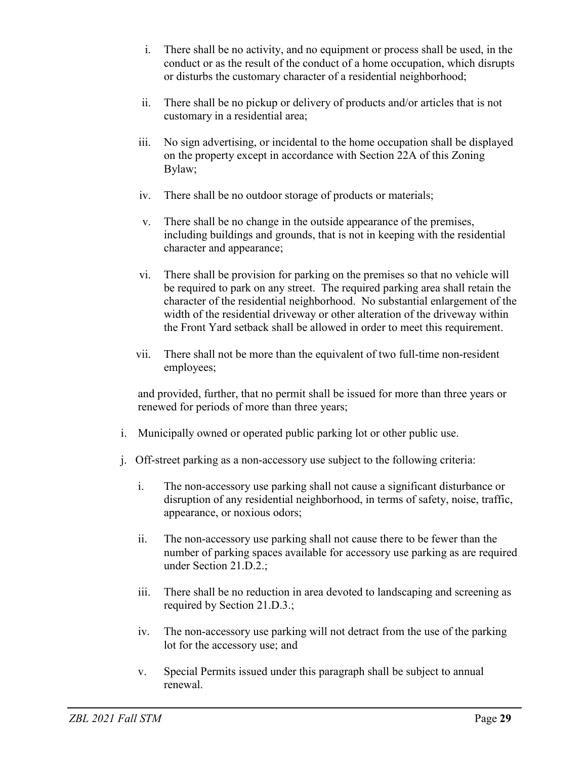- i. There shall be no activity, and no equipment or process shall be used, in the conduct or as the result of the conduct of a home occupation, which disrupts or disturbs the customary character of a residential neighborhood;
- ii. There shall be no pickup or delivery of products and/or articles that is not customary in a residential area;
- iii. No sign advertising, or incidental to the home occupation shall be displayed on the property except in accordance with Section 22A of this Zoning Bylaw;
- iv. There shall be no outdoor storage of products or materials;
- v. There shall be no change in the outside appearance of the premises, including buildings and grounds, that is not in keeping with the residential character and appearance;
- vi. There shall be provision for parking on the premises so that no vehicle will be required to park on any street. The required parking area shall retain the character of the residential neighborhood. No substantial enlargement of the width of the residential driveway or other alteration of the driveway within the Front Yard setback shall be allowed in order to meet this requirement.
- vii. There shall not be more than the equivalent of two full-time non-resident employees;

and provided, further, that no permit shall be issued for more than three years or renewed for periods of more than three years;

- i. Municipally owned or operated public parking lot or other public use.
- j. Off-street parking as a non-accessory use subject to the following criteria:
	- i. The non-accessory use parking shall not cause a significant disturbance or disruption of any residential neighborhood, in terms of safety, noise, traffic, appearance, or noxious odors;
	- ii. The non-accessory use parking shall not cause there to be fewer than the number of parking spaces available for accessory use parking as are required under Section 21.D.2.;
	- iii. There shall be no reduction in area devoted to landscaping and screening as required by Section 21.D.3.;
	- iv. The non-accessory use parking will not detract from the use of the parking lot for the accessory use; and
	- v. Special Permits issued under this paragraph shall be subject to annual renewal.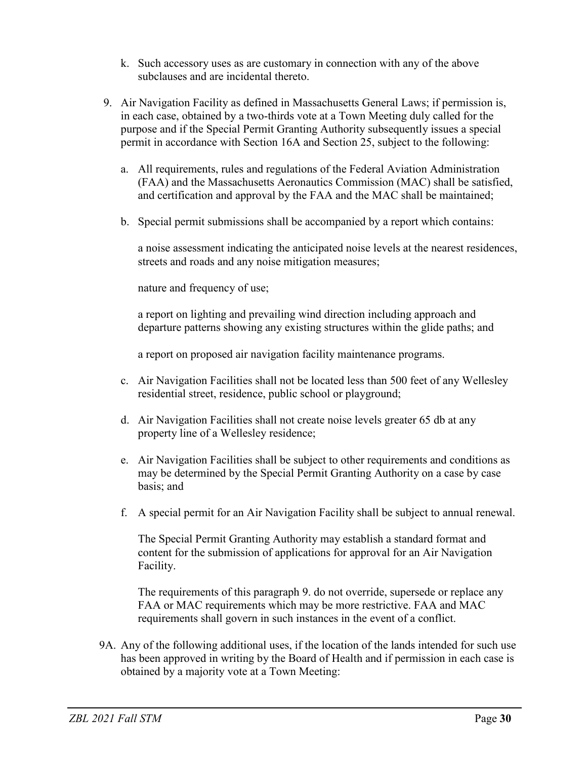- k. Such accessory uses as are customary in connection with any of the above subclauses and are incidental thereto.
- 9. Air Navigation Facility as defined in Massachusetts General Laws; if permission is, in each case, obtained by a two-thirds vote at a Town Meeting duly called for the purpose and if the Special Permit Granting Authority subsequently issues a special permit in accordance with Section 16A and Section 25, subject to the following:
	- a. All requirements, rules and regulations of the Federal Aviation Administration (FAA) and the Massachusetts Aeronautics Commission (MAC) shall be satisfied, and certification and approval by the FAA and the MAC shall be maintained;
	- b. Special permit submissions shall be accompanied by a report which contains:

a noise assessment indicating the anticipated noise levels at the nearest residences, streets and roads and any noise mitigation measures;

nature and frequency of use;

a report on lighting and prevailing wind direction including approach and departure patterns showing any existing structures within the glide paths; and

a report on proposed air navigation facility maintenance programs.

- c. Air Navigation Facilities shall not be located less than 500 feet of any Wellesley residential street, residence, public school or playground;
- d. Air Navigation Facilities shall not create noise levels greater 65 db at any property line of a Wellesley residence;
- e. Air Navigation Facilities shall be subject to other requirements and conditions as may be determined by the Special Permit Granting Authority on a case by case basis; and
- f. A special permit for an Air Navigation Facility shall be subject to annual renewal.

The Special Permit Granting Authority may establish a standard format and content for the submission of applications for approval for an Air Navigation Facility.

The requirements of this paragraph 9. do not override, supersede or replace any FAA or MAC requirements which may be more restrictive. FAA and MAC requirements shall govern in such instances in the event of a conflict.

9A. Any of the following additional uses, if the location of the lands intended for such use has been approved in writing by the Board of Health and if permission in each case is obtained by a majority vote at a Town Meeting: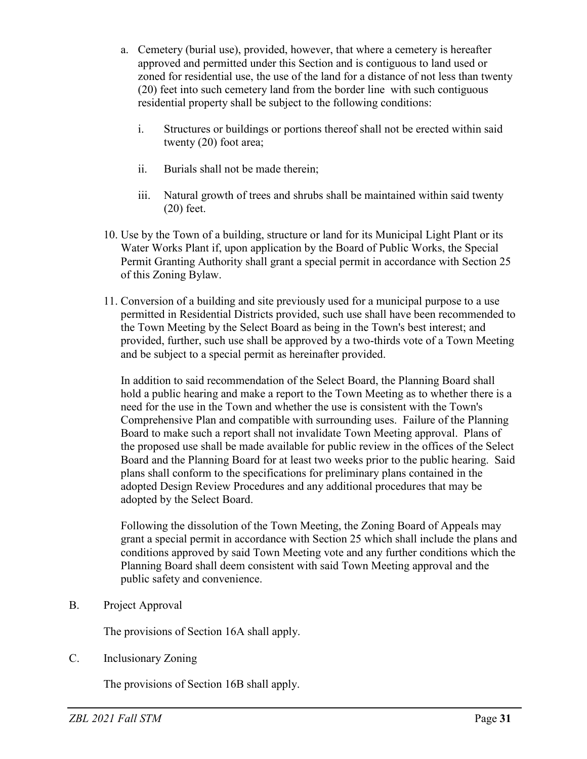- a. Cemetery (burial use), provided, however, that where a cemetery is hereafter approved and permitted under this Section and is contiguous to land used or zoned for residential use, the use of the land for a distance of not less than twenty (20) feet into such cemetery land from the border line with such contiguous residential property shall be subject to the following conditions:
	- i. Structures or buildings or portions thereof shall not be erected within said twenty (20) foot area;
	- ii. Burials shall not be made therein;
	- iii. Natural growth of trees and shrubs shall be maintained within said twenty (20) feet.
- 10. Use by the Town of a building, structure or land for its Municipal Light Plant or its Water Works Plant if, upon application by the Board of Public Works, the Special Permit Granting Authority shall grant a special permit in accordance with Section 25 of this Zoning Bylaw.
- 11. Conversion of a building and site previously used for a municipal purpose to a use permitted in Residential Districts provided, such use shall have been recommended to the Town Meeting by the Select Board as being in the Town's best interest; and provided, further, such use shall be approved by a two-thirds vote of a Town Meeting and be subject to a special permit as hereinafter provided.

In addition to said recommendation of the Select Board, the Planning Board shall hold a public hearing and make a report to the Town Meeting as to whether there is a need for the use in the Town and whether the use is consistent with the Town's Comprehensive Plan and compatible with surrounding uses. Failure of the Planning Board to make such a report shall not invalidate Town Meeting approval. Plans of the proposed use shall be made available for public review in the offices of the Select Board and the Planning Board for at least two weeks prior to the public hearing. Said plans shall conform to the specifications for preliminary plans contained in the adopted Design Review Procedures and any additional procedures that may be adopted by the Select Board.

Following the dissolution of the Town Meeting, the Zoning Board of Appeals may grant a special permit in accordance with Section 25 which shall include the plans and conditions approved by said Town Meeting vote and any further conditions which the Planning Board shall deem consistent with said Town Meeting approval and the public safety and convenience.

B. Project Approval

The provisions of Section 16A shall apply.

C. Inclusionary Zoning

The provisions of Section 16B shall apply.